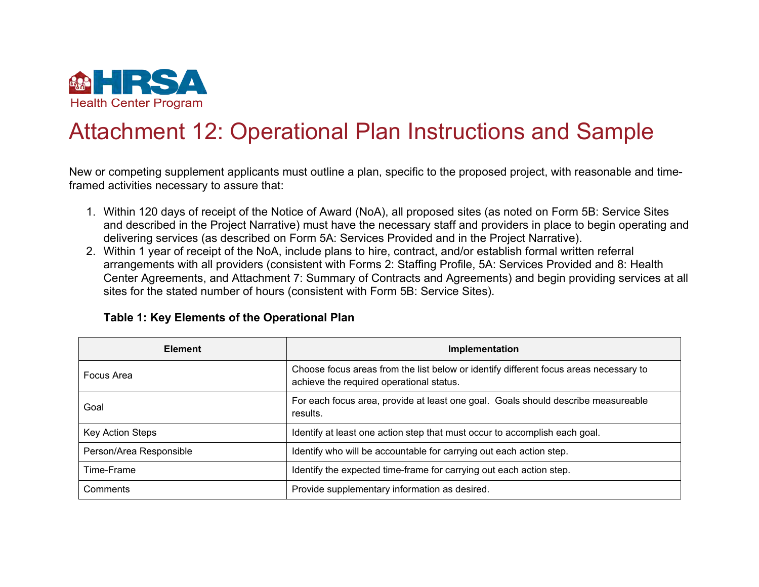

# Attachment 12: Operational Plan Instructions and Sample

New or competing supplement applicants must outline a plan, specific to the proposed project, with reasonable and timeframed activities necessary to assure that:

- 1. Within 120 days of receipt of the Notice of Award (NoA), all proposed sites (as noted on Form 5B: Service Sites and described in the Project Narrative) must have the necessary staff and providers in place to begin operating and delivering services (as described on Form 5A: Services Provided and in the Project Narrative).
- 2. Within 1 year of receipt of the NoA, include plans to hire, contract, and/or establish formal written referral arrangements with all providers (consistent with Forms 2: Staffing Profile, 5A: Services Provided and 8: Health Center Agreements, and Attachment 7: Summary of Contracts and Agreements) and begin providing services at all sites for the stated number of hours (consistent with Form 5B: Service Sites).

| <b>Element</b>          | Implementation                                                                                                                    |  |  |
|-------------------------|-----------------------------------------------------------------------------------------------------------------------------------|--|--|
| Focus Area              | Choose focus areas from the list below or identify different focus areas necessary to<br>achieve the required operational status. |  |  |
| Goal                    | For each focus area, provide at least one goal. Goals should describe measureable<br>results.                                     |  |  |
| Key Action Steps        | Identify at least one action step that must occur to accomplish each goal.                                                        |  |  |
| Person/Area Responsible | Identify who will be accountable for carrying out each action step.                                                               |  |  |
| Time-Frame              | Identify the expected time-frame for carrying out each action step.                                                               |  |  |
| Comments                | Provide supplementary information as desired.                                                                                     |  |  |

### **Table 1: Key Elements of the Operational Plan**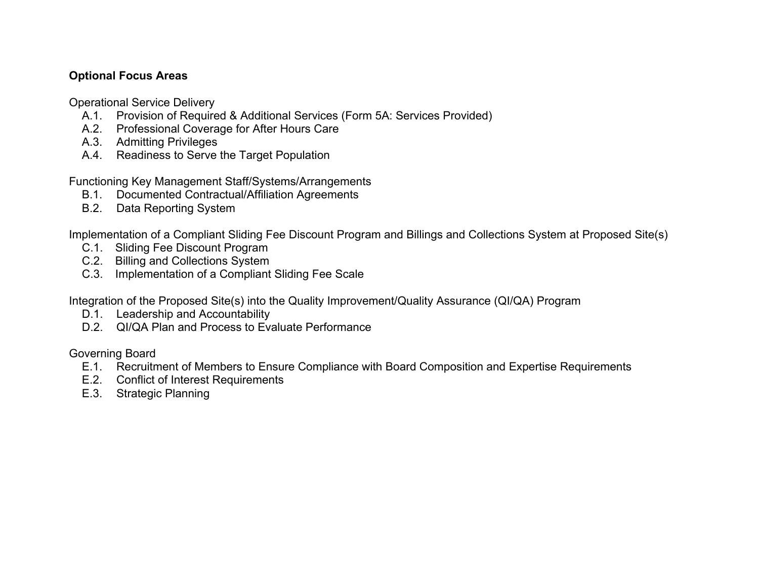## **Optional Focus Areas**

Operational Service Delivery

- A.1. Provision of Required & Additional Services (Form 5A: Services Provided)
- A.2. Professional Coverage for After Hours Care
- A.3. Admitting Privileges
- A.4. Readiness to Serve the Target Population

Functioning Key Management Staff/Systems/Arrangements

- B.1. Documented Contractual/Affiliation Agreements
- B.2. Data Reporting System

Implementation of a Compliant Sliding Fee Discount Program and Billings and Collections System at Proposed Site(s)

- C.1. Sliding Fee Discount Program
- C.2. Billing and Collections System
- C.3. Implementation of a Compliant Sliding Fee Scale

Integration of the Proposed Site(s) into the Quality Improvement/Quality Assurance (QI/QA) Program

- D.1. Leadership and Accountability
- D.2. QI/QA Plan and Process to Evaluate Performance

Governing Board

- E.1. Recruitment of Members to Ensure Compliance with Board Composition and Expertise Requirements
- E.2. Conflict of Interest Requirements
- E.3. Strategic Planning